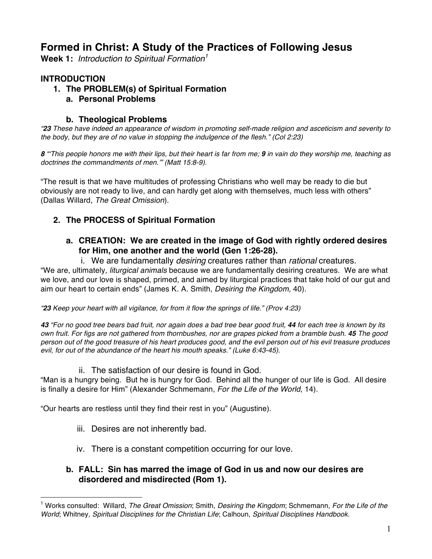# **Formed in Christ: A Study of the Practices of Following Jesus**

**Week 1:** *Introduction to Spiritual Formation<sup>1</sup>*

# **INTRODUCTION**

- **1. The PROBLEM(s) of Spiritual Formation**
	- **a. Personal Problems**

### **b. Theological Problems**

*"23 These have indeed an appearance of wisdom in promoting self-made religion and asceticism and severity to the body, but they are of no value in stopping the indulgence of the flesh." (Col 2:23)*

*8 "'This people honors me with their lips, but their heart is far from me; 9 in vain do they worship me, teaching as doctrines the commandments of men.'" (Matt 15:8-9).*

"The result is that we have multitudes of professing Christians who well may be ready to die but obviously are not ready to live, and can hardly get along with themselves, much less with others" (Dallas Willard, *The Great Omission*).

## **2. The PROCESS of Spiritual Formation**

### **a. CREATION: We are created in the image of God with rightly ordered desires for Him, one another and the world (Gen 1:26-28).**

#### i. We are fundamentally *desiring* creatures rather than *rational* creatures.

"We are, ultimately, *liturgical animals* because we are fundamentally desiring creatures. We are what we love, and our love is shaped, primed, and aimed by liturgical practices that take hold of our gut and aim our heart to certain ends" (James K. A. Smith, *Desiring the Kingdom*, 40).

*"23 Keep your heart with all vigilance, for from it flow the springs of life." (Prov 4:23)*

*43 "For no good tree bears bad fruit, nor again does a bad tree bear good fruit, 44 for each tree is known by its own fruit. For figs are not gathered from thornbushes, nor are grapes picked from a bramble bush. 45 The good person out of the good treasure of his heart produces good, and the evil person out of his evil treasure produces evil, for out of the abundance of the heart his mouth speaks." (Luke 6:43-45).*

### ii. The satisfaction of our desire is found in God.

"Man is a hungry being. But he is hungry for God. Behind all the hunger of our life is God. All desire is finally a desire for Him" (Alexander Schmemann, *For the Life of the World*, 14).

"Our hearts are restless until they find their rest in you" (Augustine).

- iii. Desires are not inherently bad.
- iv. There is a constant competition occurring for our love.

### **b. FALL: Sin has marred the image of God in us and now our desires are disordered and misdirected (Rom 1).**

 $\overline{a}$ <sup>1</sup> Works consulted: Willard, *The Great Omission*; Smith, *Desiring the Kingdom*; Schmemann, *For the Life of the World*; Whitney, *Spiritual Disciplines for the Christian Life*; Calhoun, *Spiritual Disciplines Handbook*.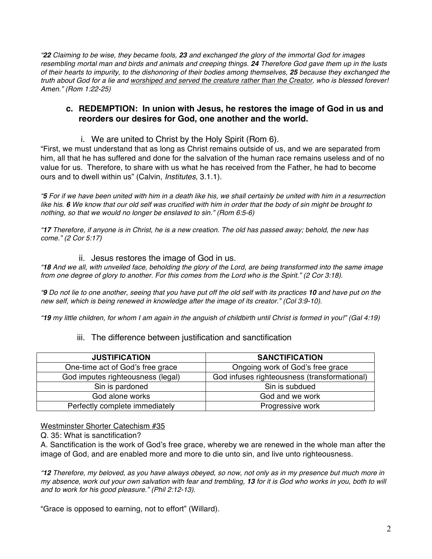*"22 Claiming to be wise, they became fools, 23 and exchanged the glory of the immortal God for images resembling mortal man and birds and animals and creeping things. 24 Therefore God gave them up in the lusts of their hearts to impurity, to the dishonoring of their bodies among themselves, 25 because they exchanged the truth about God for a lie and worshiped and served the creature rather than the Creator, who is blessed forever! Amen." (Rom 1:22-25)*

### **c. REDEMPTION: In union with Jesus, he restores the image of God in us and reorders our desires for God, one another and the world.**

i. We are united to Christ by the Holy Spirit (Rom 6).

"First, we must understand that as long as Christ remains outside of us, and we are separated from him, all that he has suffered and done for the salvation of the human race remains useless and of no value for us. Therefore, to share with us what he has received from the Father, he had to become ours and to dwell within us" (Calvin, *Institutes*, 3.1.1).

*"5 For if we have been united with him in a death like his, we shall certainly be united with him in a resurrection like his. 6 We know that our old self was crucified with him in order that the body of sin might be brought to nothing, so that we would no longer be enslaved to sin." (Rom 6:5-6)*

*"17 Therefore, if anyone is in Christ, he is a new creation. The old has passed away; behold, the new has come." (2 Cor 5:17)*

#### ii. Jesus restores the image of God in us.

*"18 And we all, with unveiled face, beholding the glory of the Lord, are being transformed into the same image from one degree of glory to another. For this comes from the Lord who is the Spirit." (2 Cor 3:18).*

*"9 Do not lie to one another, seeing that you have put off the old self with its practices 10 and have put on the new self, which is being renewed in knowledge after the image of its creator." (Col 3:9-10).*

*"19 my little children, for whom I am again in the anguish of childbirth until Christ is formed in you!" (Gal 4:19)*

### iii. The difference between justification and sanctification

| <b>JUSTIFICATION</b>              | <b>SANCTIFICATION</b>                        |
|-----------------------------------|----------------------------------------------|
| One-time act of God's free grace  | Ongoing work of God's free grace             |
| God imputes righteousness (legal) | God infuses righteousness (transformational) |
| Sin is pardoned                   | Sin is subdued                               |
| God alone works                   | God and we work                              |
| Perfectly complete immediately    | Progressive work                             |

Westminster Shorter Catechism #35

Q. 35: What is sanctification?

A. Sanctification is the work of God's free grace, whereby we are renewed in the whole man after the image of God, and are enabled more and more to die unto sin, and live unto righteousness.

*"12 Therefore, my beloved, as you have always obeyed, so now, not only as in my presence but much more in my absence, work out your own salvation with fear and trembling, 13 for it is God who works in you, both to will and to work for his good pleasure." (Phil 2:12-13).*

"Grace is opposed to earning, not to effort" (Willard).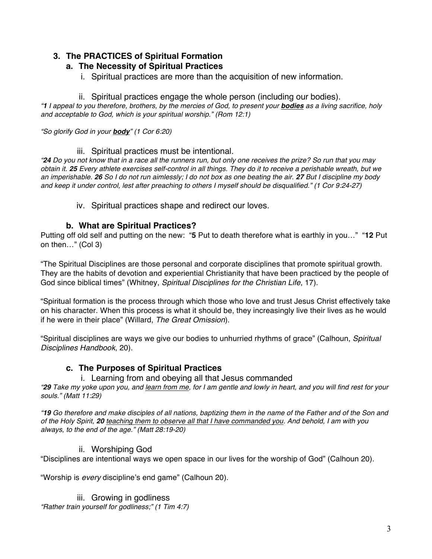# **3. The PRACTICES of Spiritual Formation**

## **a. The Necessity of Spiritual Practices**

i. Spiritual practices are more than the acquisition of new information.

### ii. Spiritual practices engage the whole person (including our bodies).

*"1 I appeal to you therefore, brothers, by the mercies of God, to present your bodies as a living sacrifice, holy and acceptable to God, which is your spiritual worship." (Rom 12:1)*

*"So glorify God in your body" (1 Cor 6:20)*

### iii. Spiritual practices must be intentional.

*"24 Do you not know that in a race all the runners run, but only one receives the prize? So run that you may obtain it. 25 Every athlete exercises self-control in all things. They do it to receive a perishable wreath, but we an imperishable. 26 So I do not run aimlessly; I do not box as one beating the air. 27 But I discipline my body and keep it under control, lest after preaching to others I myself should be disqualified." (1 Cor 9:24-27)*

### iv. Spiritual practices shape and redirect our loves.

### **b. What are Spiritual Practices?**

Putting off old self and putting on the new: "**5** Put to death therefore what is earthly in you…" "**12** Put on then…" (Col 3)

"The Spiritual Disciplines are those personal and corporate disciplines that promote spiritual growth. They are the habits of devotion and experiential Christianity that have been practiced by the people of God since biblical times" (Whitney, *Spiritual Disciplines for the Christian Life*, 17).

"Spiritual formation is the process through which those who love and trust Jesus Christ effectively take on his character. When this process is what it should be, they increasingly live their lives as he would if he were in their place" (Willard, *The Great Omission*).

"Spiritual disciplines are ways we give our bodies to unhurried rhythms of grace" (Calhoun, *Spiritual Disciplines Handbook*, 20).

## **c. The Purposes of Spiritual Practices**

### i. Learning from and obeying all that Jesus commanded

*"29 Take my yoke upon you, and learn from me, for I am gentle and lowly in heart, and you will find rest for your souls." (Matt 11:29)*

*"19 Go therefore and make disciples of all nations, baptizing them in the name of the Father and of the Son and of the Holy Spirit, 20 teaching them to observe all that I have commanded you. And behold, I am with you always, to the end of the age." (Matt 28:19-20)*

## ii. Worshiping God

"Disciplines are intentional ways we open space in our lives for the worship of God" (Calhoun 20).

"Worship is *every* discipline's end game" (Calhoun 20).

### iii. Growing in godliness

*"Rather train yourself for godliness;" (1 Tim 4:7)*